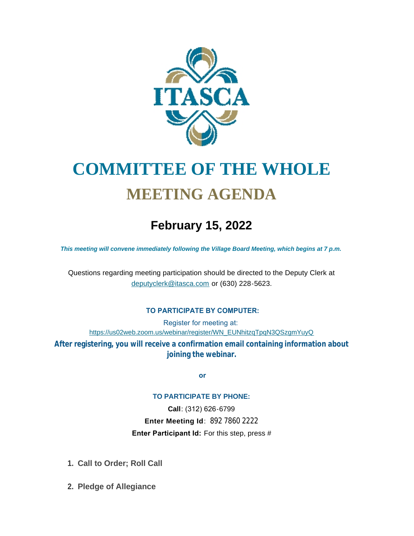

# **COMMITTEE OF THE WHOLE MEETING AGENDA**

## **February 15, 2022**

*This meeting will convene immediately following the Village Board Meeting, which begins at 7 p.m.*

[Questions regarding meeting participation sh](mailto:deputyclerk@itasca.com)ould be directed to the Deputy Clerk at deputyclerk@itasca.com or (630) 228-5623.

#### **TO PARTICIPATE BY COMPUTER:**

Register for meeting at: [https://us02web.zoom.us/webinar/register/WN\\_EUNhitzqTpqN3QSzgmYuyQ](https://us02web.zoom.us/webinar/register/WN_EUNhitzqTpqN3QSzgmYuyQ)

**After registering, you will receive a confirmation email containing information about joining the webinar.**

 **or**

#### **TO PARTICIPATE BY PHONE:**

**Call**: (312) 626-6799 **Enter Meeting Id**: 892 7860 2222 **Enter Participant Id:** For this step, press #

- **Call to Order; Roll Call 1.**
- **Pledge of Allegiance 2.**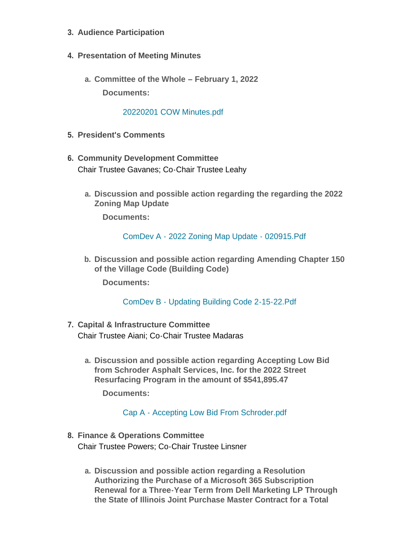- **Audience Participation 3.**
- **Presentation of Meeting Minutes 4.**
	- **Committee of the Whole – February 1, 2022 a. Documents:**

### [20220201 COW Minutes.pdf](http://www.itasca.com/AgendaCenter/ViewFile/Item/7399?fileID=9398)

- **President's Comments 5.**
- **Community Development Committee 6.** Chair Trustee Gavanes; Co-Chair Trustee Leahy
	- **Discussion and possible action regarding the regarding the 2022 a. Zoning Map Update**

**Documents:**

[ComDev A - 2022 Zoning Map Update - 020915.Pdf](http://www.itasca.com/AgendaCenter/ViewFile/Item/7400?fileID=9399)

**Discussion and possible action regarding Amending Chapter 150 b. of the Village Code (Building Code)**

**Documents:**

[ComDev B - Updating Building Code 2-15-22.Pdf](http://www.itasca.com/AgendaCenter/ViewFile/Item/7401?fileID=9400)

- **Capital & Infrastructure Committee 7.** Chair Trustee Aiani; Co-Chair Trustee Madaras
	- **Discussion and possible action regarding Accepting Low Bid a. from Schroder Asphalt Services, Inc. for the 2022 Street Resurfacing Program in the amount of \$541,895.47**

**Documents:**

[Cap A - Accepting Low Bid From Schroder.pdf](http://www.itasca.com/AgendaCenter/ViewFile/Item/7402?fileID=9401)

- **Finance & Operations Committee 8.** Chair Trustee Powers; Co-Chair Trustee Linsner
	- **Discussion and possible action regarding a Resolution a. Authorizing the Purchase of a Microsoft 365 Subscription Renewal for a Three-Year Term from Dell Marketing LP Through the State of Illinois Joint Purchase Master Contract for a Total**